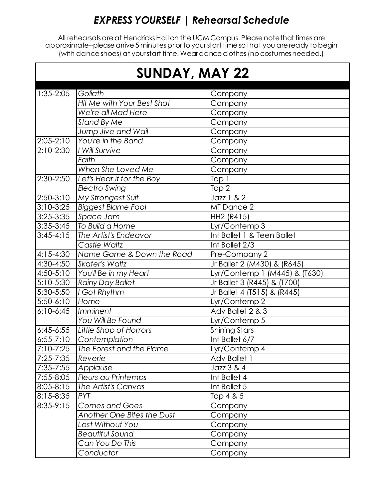### *EXPRESS YOURSELF | Rehearsal Schedule*

All rehearsalsare at Hendricks Hall on the UCM Campus. Please note that times are approximate--please arrive 5 minutes prior to your start time so that you are ready to begin (with dance shoes) at your start time. Wear dance clothes (no costumes needed.)

| <b>SUNDAY, MAY 22</b> |                            |                               |  |  |
|-----------------------|----------------------------|-------------------------------|--|--|
| $1:35-2:05$           | Goliath                    | Company                       |  |  |
|                       | Hit Me with Your Best Shot | Company                       |  |  |
|                       | We're all Mad Here         | Company                       |  |  |
|                       | <b>Stand By Me</b>         | Company                       |  |  |
|                       | Jump Jive and Wail         | Company                       |  |  |
| $2:05-2:10$           | You're in the Band         | Company                       |  |  |
| $2:10-2:30$           | I Will Survive             | Company                       |  |  |
|                       | Faith                      | Company                       |  |  |
|                       | When She Loved Me          | Company                       |  |  |
| 2:30-2:50             | Let's Hear it for the Boy  | Tap 1                         |  |  |
|                       | Electro Swing              | Tap 2                         |  |  |
| $2:50-3:10$           | My Strongest Suit          | Jazz 1 & 2                    |  |  |
| $3:10-3:25$           | <b>Biggest Blame Fool</b>  | MT Dance 2                    |  |  |
| 3:25-3:35             | Space Jam                  | HH2 (R415)                    |  |  |
| $3:35-3:45$           | To Build a Home            | Lyr/Contemp 3                 |  |  |
| $3:45-4:15$           | The Artist's Endeavor      | Int Ballet 1 & Teen Ballet    |  |  |
|                       | Castle Waltz               | Int Ballet 2/3                |  |  |
| $4:15-4:30$           | Name Game & Down the Road  | Pre-Company 2                 |  |  |
| 4:30-4:50             | <b>Skater's Waltz</b>      | Jr Ballet 2 (M430) & (R645)   |  |  |
| 4:50-5:10             | You'll Be in my Heart      | Lyr/Contemp 1 (M445) & (T630) |  |  |
| $5:10-5:30$           | <b>Rainy Day Ballet</b>    | Jr Ballet 3 (R445) & (T700)   |  |  |
| 5:30-5:50             | I Got Rhythm               | Jr Ballet 4 (T515) & (R445)   |  |  |
| $5:50-6:10$           | Home                       | Lyr/Contemp 2                 |  |  |
| $6:10-6:45$           | Imminent                   | Adv Ballet 2 & 3              |  |  |
|                       | You Will Be Found          | Lyr/Contemp 5                 |  |  |
| $6:45-6:55$           | Little Shop of Horrors     | <b>Shining Stars</b>          |  |  |
| $6:55 - 7:10$         | Contemplation              | Int Ballet 6/7                |  |  |
| 7:10-7:25             | The Forest and the Flame   | Lyr/Contemp 4                 |  |  |
| 7:25-7:35             | Reverie                    | Adv Ballet 1                  |  |  |
| 7:35-7:55             | Applause                   | Jazz 3 & 4                    |  |  |
| 7:55-8:05             | <b>Fleurs au Printemps</b> | Int Ballet 4                  |  |  |
| 8:05-8:15             | The Artist's Canvas        | Int Ballet 5                  |  |  |
| 8:15-8:35             | PYT                        | Tap 4 & 5                     |  |  |
| $8:35-9:15$           | Comes and Goes             | Company                       |  |  |
|                       | Another One Bites the Dust | Company                       |  |  |
|                       | Lost Without You           | Company                       |  |  |
|                       | <b>Beautiful Sound</b>     | Company                       |  |  |
|                       | Can You Do This            | Company                       |  |  |
|                       | Conductor                  | Company                       |  |  |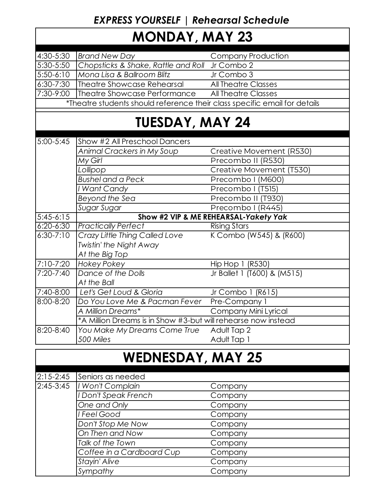### *EXPRESS YOURSELF | Rehearsal Schedule*

## **MONDAY, MAY 23**

| 4:30-5:30                                                                 | <b>Brand New Day</b>                                          | <b>Company Production</b>   |  |  |  |
|---------------------------------------------------------------------------|---------------------------------------------------------------|-----------------------------|--|--|--|
| 5:30-5:50                                                                 | Chopsticks & Shake, Rattle and Roll Jr Combo 2                |                             |  |  |  |
| $5:50-6:10$                                                               | Mona Lisa & Ballroom Blitz                                    | Jr Combo 3                  |  |  |  |
| 6:30-7:30                                                                 | Theatre Showcase Rehearsal                                    | <b>All Theatre Classes</b>  |  |  |  |
| 7:30-9:00                                                                 | Theatre Showcase Performance                                  | <b>All Theatre Classes</b>  |  |  |  |
| *Theatre students should reference their class specific email for details |                                                               |                             |  |  |  |
| <b>TUESDAY, MAY 24</b>                                                    |                                                               |                             |  |  |  |
|                                                                           |                                                               |                             |  |  |  |
| 5:00-5:45                                                                 | Show #2 All Preschool Dancers                                 |                             |  |  |  |
|                                                                           | Animal Crackers in My Soup                                    | Creative Movement (R530)    |  |  |  |
|                                                                           | My Girl                                                       | Precombo II (R530)          |  |  |  |
|                                                                           | Lollipop                                                      | Creative Movement (T530)    |  |  |  |
|                                                                           | <b>Bushel and a Peck</b>                                      | Precombo I (M600)           |  |  |  |
|                                                                           | I Want Candy                                                  | Precombo I (T515)           |  |  |  |
|                                                                           | Beyond the Sea                                                | Precombo II (T930)          |  |  |  |
|                                                                           | Sugar Sugar                                                   | Precombo I (R445)           |  |  |  |
| $5:45-6:15$                                                               | Show #2 VIP & ME REHEARSAL-Yakety Yak                         |                             |  |  |  |
| $6:20 - 6:30$                                                             | <b>Practically Perfect</b>                                    | <b>Rising Stars</b>         |  |  |  |
| $6:30 - 7:10$                                                             | Crazy Little Thing Called Love                                | K Combo (W545) & (R600)     |  |  |  |
|                                                                           | Twistin' the Night Away                                       |                             |  |  |  |
|                                                                           | At the Big Top                                                |                             |  |  |  |
| 7:10-7:20                                                                 | <b>Hokey Pokey</b>                                            | Hip Hop 1 (R530)            |  |  |  |
| 7:20-7:40                                                                 | Dance of the Dolls                                            | Jr Ballet 1 (T600) & (M515) |  |  |  |
|                                                                           | At the Ball                                                   |                             |  |  |  |
| 7:40-8:00                                                                 | Let's Get Loud & Gloria                                       | Jr Combo 1 (R615)           |  |  |  |
| 8:00-8:20                                                                 | Do You Love Me & Pacman Fever                                 | Pre-Company 1               |  |  |  |
|                                                                           | A Million Dreams*                                             | Company Mini Lyrical        |  |  |  |
|                                                                           | *A Million Dreams is in Show #3-but will rehearse now instead |                             |  |  |  |
| 8:20-8:40                                                                 | You Make My Dreams Come True                                  | Adult Tap 2                 |  |  |  |
|                                                                           | 500 Miles                                                     | Adult Tap 1                 |  |  |  |
|                                                                           |                                                               |                             |  |  |  |

# **WEDNESDAY, MAY 25**

| $2:15 - 2:45$ | Seniors as needed         |         |
|---------------|---------------------------|---------|
| $2:45-3:45$   | I Won't Complain          | Company |
|               | Don't Speak French        | Company |
|               | One and Only              | Company |
|               | I Feel Good               | Company |
|               | Don't Stop Me Now         | Company |
|               | On Then and Now           | Company |
|               | Talk of the Town          | Company |
|               | Coffee in a Cardboard Cup | Company |
|               | Stayin' Alive             | Company |
|               | Sympathy                  | Company |